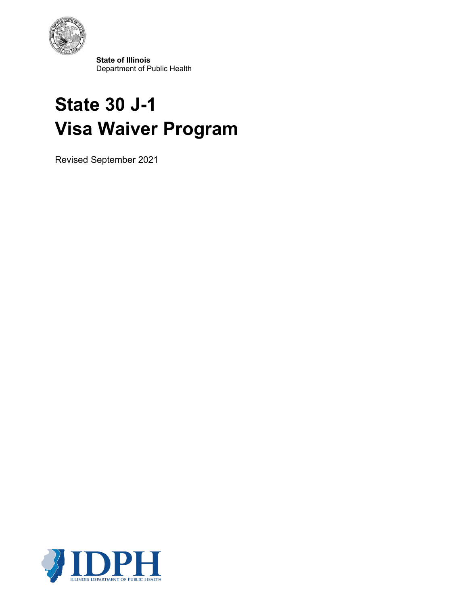

 **State of Illinois** Department of Public Health

# **State 30 J-1 Visa Waiver Program**

Revised September 2021

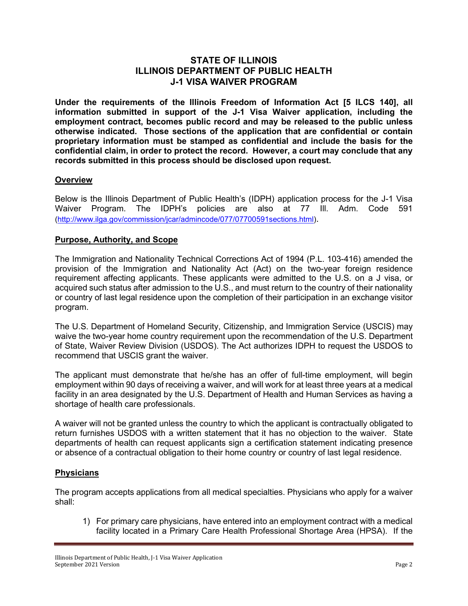# **STATE OF ILLINOIS ILLINOIS DEPARTMENT OF PUBLIC HEALTH J-1 VISA WAIVER PROGRAM**

**Under the requirements of the Illinois Freedom of Information Act [5 ILCS 140], all information submitted in support of the J-1 Visa Waiver application, including the employment contract, becomes public record and may be released to the public unless otherwise indicated. Those sections of the application that are confidential or contain proprietary information must be stamped as confidential and include the basis for the confidential claim, in order to protect the record. However, a court may conclude that any records submitted in this process should be disclosed upon request.**

## **Overview**

Below is the Illinois Department of Public Health's (IDPH) application process for the J-1 Visa Waiver Program. The IDPH's policies are also at 77 Ill. Adm. Code 591 [\(http://www.ilga.gov/commission/jcar/admincode/077/07700591sections.html\)](http://www.ilga.gov/commission/jcar/admincode/077/07700591sections.html).

# **Purpose, Authority, and Scope**

The Immigration and Nationality Technical Corrections Act of 1994 (P.L. 103-416) amended the provision of the Immigration and Nationality Act (Act) on the two-year foreign residence requirement affecting applicants. These applicants were admitted to the U.S. on a J visa, or acquired such status after admission to the U.S., and must return to the country of their nationality or country of last legal residence upon the completion of their participation in an exchange visitor program.

The U.S. Department of Homeland Security, Citizenship, and Immigration Service (USCIS) may waive the two-year home country requirement upon the recommendation of the U.S. Department of State, Waiver Review Division (USDOS). The Act authorizes IDPH to request the USDOS to recommend that USCIS grant the waiver.

The applicant must demonstrate that he/she has an offer of full-time employment, will begin employment within 90 days of receiving a waiver, and will work for at least three years at a medical facility in an area designated by the U.S. Department of Health and Human Services as having a shortage of health care professionals.

A waiver will not be granted unless the country to which the applicant is contractually obligated to return furnishes USDOS with a written statement that it has no objection to the waiver. State departments of health can request applicants sign a certification statement indicating presence or absence of a contractual obligation to their home country or country of last legal residence.

## **Physicians**

The program accepts applications from all medical specialties. Physicians who apply for a waiver shall:

1) For primary care physicians, have entered into an employment contract with a medical facility located in a Primary Care Health Professional Shortage Area (HPSA). If the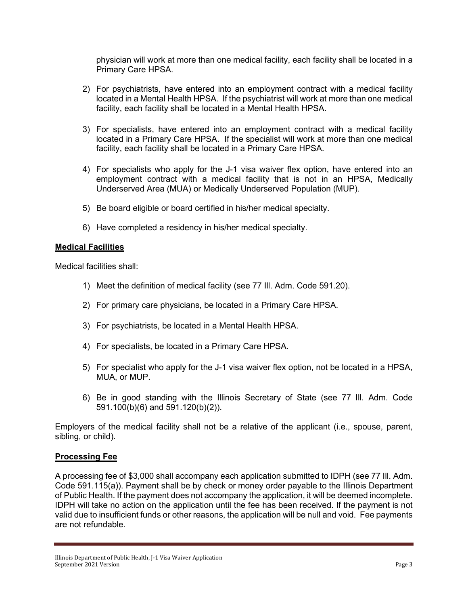physician will work at more than one medical facility, each facility shall be located in a Primary Care HPSA.

- 2) For psychiatrists, have entered into an employment contract with a medical facility located in a Mental Health HPSA. If the psychiatrist will work at more than one medical facility, each facility shall be located in a Mental Health HPSA.
- 3) For specialists, have entered into an employment contract with a medical facility located in a Primary Care HPSA. If the specialist will work at more than one medical facility, each facility shall be located in a Primary Care HPSA.
- 4) For specialists who apply for the J-1 visa waiver flex option, have entered into an employment contract with a medical facility that is not in an HPSA, Medically Underserved Area (MUA) or Medically Underserved Population (MUP).
- 5) Be board eligible or board certified in his/her medical specialty.
- 6) Have completed a residency in his/her medical specialty.

## **Medical Facilities**

Medical facilities shall:

- 1) Meet the definition of medical facility (see 77 Ill. Adm. Code 591.20).
- 2) For primary care physicians, be located in a Primary Care HPSA.
- 3) For psychiatrists, be located in a Mental Health HPSA.
- 4) For specialists, be located in a Primary Care HPSA.
- 5) For specialist who apply for the J-1 visa waiver flex option, not be located in a HPSA, MUA, or MUP.
- 6) Be in good standing with the Illinois Secretary of State (see 77 Ill. Adm. Code 591.100(b)(6) and 591.120(b)(2)).

Employers of the medical facility shall not be a relative of the applicant (i.e., spouse, parent, sibling, or child).

## **Processing Fee**

A processing fee of \$3,000 shall accompany each application submitted to IDPH (see 77 Ill. Adm. Code 591.115(a)). Payment shall be by check or money order payable to the Illinois Department of Public Health. If the payment does not accompany the application, it will be deemed incomplete. IDPH will take no action on the application until the fee has been received. If the payment is not valid due to insufficient funds or other reasons, the application will be null and void. Fee payments are not refundable.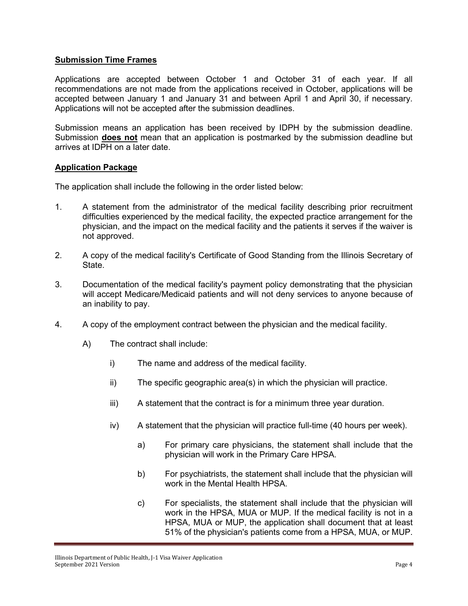## **Submission Time Frames**

Applications are accepted between October 1 and October 31 of each year. If all recommendations are not made from the applications received in October, applications will be accepted between January 1 and January 31 and between April 1 and April 30, if necessary. Applications will not be accepted after the submission deadlines.

Submission means an application has been received by IDPH by the submission deadline. Submission **does not** mean that an application is postmarked by the submission deadline but arrives at IDPH on a later date.

#### **Application Package**

The application shall include the following in the order listed below:

- 1. A statement from the administrator of the medical facility describing prior recruitment difficulties experienced by the medical facility, the expected practice arrangement for the physician, and the impact on the medical facility and the patients it serves if the waiver is not approved.
- 2. A copy of the medical facility's Certificate of Good Standing from the Illinois Secretary of State.
- 3. Documentation of the medical facility's payment policy demonstrating that the physician will accept Medicare/Medicaid patients and will not deny services to anyone because of an inability to pay.
- 4. A copy of the employment contract between the physician and the medical facility.
	- A) The contract shall include:
		- i) The name and address of the medical facility.
		- ii) The specific geographic area(s) in which the physician will practice.
		- iii) A statement that the contract is for a minimum three year duration.
		- iv) A statement that the physician will practice full-time (40 hours per week).
			- a) For primary care physicians, the statement shall include that the physician will work in the Primary Care HPSA.
			- b) For psychiatrists, the statement shall include that the physician will work in the Mental Health HPSA.
			- c) For specialists, the statement shall include that the physician will work in the HPSA, MUA or MUP. If the medical facility is not in a HPSA, MUA or MUP, the application shall document that at least 51% of the physician's patients come from a HPSA, MUA, or MUP.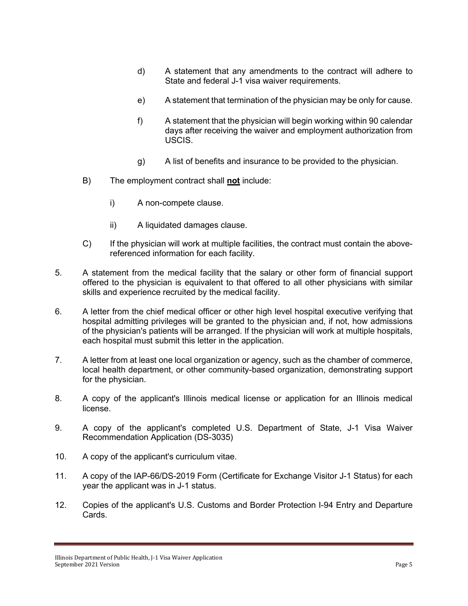- d) A statement that any amendments to the contract will adhere to State and federal J-1 visa waiver requirements.
- e) A statement that termination of the physician may be only for cause.
- f) A statement that the physician will begin working within 90 calendar days after receiving the waiver and employment authorization from USCIS.
- g) A list of benefits and insurance to be provided to the physician.
- B) The employment contract shall **not** include:
	- i) A non-compete clause.
	- ii) A liquidated damages clause.
- C) If the physician will work at multiple facilities, the contract must contain the abovereferenced information for each facility.
- 5. A statement from the medical facility that the salary or other form of financial support offered to the physician is equivalent to that offered to all other physicians with similar skills and experience recruited by the medical facility.
- 6. A letter from the chief medical officer or other high level hospital executive verifying that hospital admitting privileges will be granted to the physician and, if not, how admissions of the physician's patients will be arranged. If the physician will work at multiple hospitals, each hospital must submit this letter in the application.
- 7. A letter from at least one local organization or agency, such as the chamber of commerce, local health department, or other community-based organization, demonstrating support for the physician.
- 8. A copy of the applicant's Illinois medical license or application for an Illinois medical license.
- 9. A copy of the applicant's completed U.S. Department of State, J-1 Visa Waiver Recommendation Application (DS-3035)
- 10. A copy of the applicant's curriculum vitae.
- 11. A copy of the IAP-66/DS-2019 Form (Certificate for Exchange Visitor J-1 Status) for each year the applicant was in J-1 status.
- 12. Copies of the applicant's U.S. Customs and Border Protection I-94 Entry and Departure Cards.

Illinois Department of Public Health, J-1 Visa Waiver Application September 2021 Version Page 5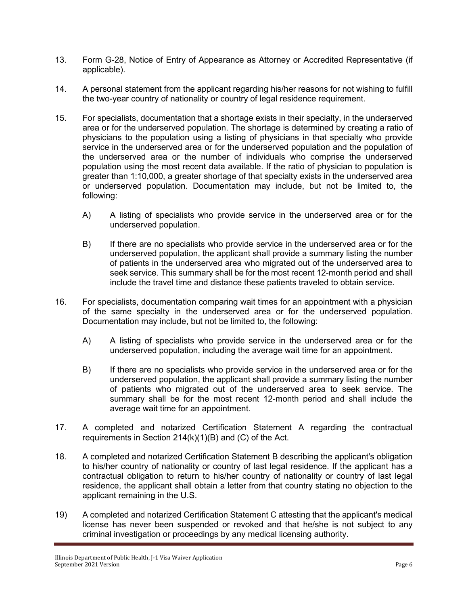- 13. Form G-28, Notice of Entry of Appearance as Attorney or Accredited Representative (if applicable).
- 14. A personal statement from the applicant regarding his/her reasons for not wishing to fulfill the two-year country of nationality or country of legal residence requirement.
- 15. For specialists, documentation that a shortage exists in their specialty, in the underserved area or for the underserved population. The shortage is determined by creating a ratio of physicians to the population using a listing of physicians in that specialty who provide service in the underserved area or for the underserved population and the population of the underserved area or the number of individuals who comprise the underserved population using the most recent data available. If the ratio of physician to population is greater than 1:10,000, a greater shortage of that specialty exists in the underserved area or underserved population. Documentation may include, but not be limited to, the following:
	- A) A listing of specialists who provide service in the underserved area or for the underserved population.
	- B) If there are no specialists who provide service in the underserved area or for the underserved population, the applicant shall provide a summary listing the number of patients in the underserved area who migrated out of the underserved area to seek service. This summary shall be for the most recent 12-month period and shall include the travel time and distance these patients traveled to obtain service.
- 16. For specialists, documentation comparing wait times for an appointment with a physician of the same specialty in the underserved area or for the underserved population. Documentation may include, but not be limited to, the following:
	- A) A listing of specialists who provide service in the underserved area or for the underserved population, including the average wait time for an appointment.
	- B) If there are no specialists who provide service in the underserved area or for the underserved population, the applicant shall provide a summary listing the number of patients who migrated out of the underserved area to seek service. The summary shall be for the most recent 12-month period and shall include the average wait time for an appointment.
- 17. A completed and notarized Certification Statement A regarding the contractual requirements in Section 214(k)(1)(B) and (C) of the Act.
- 18. A completed and notarized Certification Statement B describing the applicant's obligation to his/her country of nationality or country of last legal residence. If the applicant has a contractual obligation to return to his/her country of nationality or country of last legal residence, the applicant shall obtain a letter from that country stating no objection to the applicant remaining in the U.S.
- 19) A completed and notarized Certification Statement C attesting that the applicant's medical license has never been suspended or revoked and that he/she is not subject to any criminal investigation or proceedings by any medical licensing authority.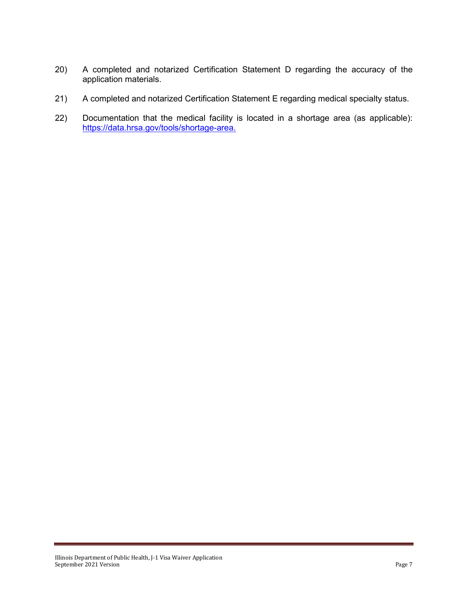- 20) A completed and notarized Certification Statement D regarding the accuracy of the application materials.
- 21) A completed and notarized Certification Statement E regarding medical specialty status.
- 22) Documentation that the medical facility is located in a shortage area (as applicable): [https://data.hrsa.gov/tools/shortage-area.](https://data.hrsa.gov/tools/shortage-area)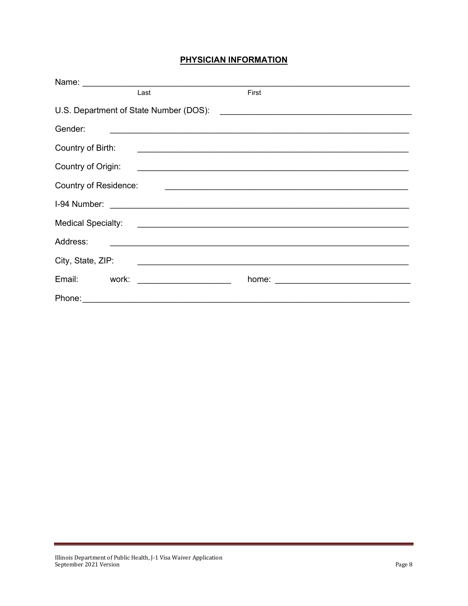# PHYSICIAN INFORMATION

|                                        | Name: <u>______________________________</u> |                                                                                                                       |
|----------------------------------------|---------------------------------------------|-----------------------------------------------------------------------------------------------------------------------|
|                                        | Last                                        | First                                                                                                                 |
| U.S. Department of State Number (DOS): |                                             | <u> 1989 - Andrea Barbara, politikar politikar (h. 1989)</u>                                                          |
| Gender:                                |                                             |                                                                                                                       |
| Country of Birth:                      |                                             | <u> Andreas Andreas Andreas Andreas Andreas Andreas Andreas Andreas Andreas Andreas Andreas Andreas Andreas Andr</u>  |
| Country of Origin:                     |                                             | <u> 1989 - Andrea Stadt Britain, amerikansk politik (</u>                                                             |
| <b>Country of Residence:</b>           |                                             |                                                                                                                       |
| I-94 Number:                           |                                             |                                                                                                                       |
| <b>Medical Specialty:</b>              |                                             | <u> 1989 - Johann Stein, markin fan de Amerikaansk kommunister (</u>                                                  |
| Address:                               |                                             | <u> 1989 - Jan Samuel Barbara, martin da shekara tsara 1989 - An tsara 1989 - An tsara 1989 - An tsara 1989 - An</u>  |
| City, State, ZIP:                      |                                             | <u> 1989 - Andrea Barbara, amerikan personal dan personal dan personal dan personal dan personal dan personal dan</u> |
| Email:<br>work:                        | <u> Liston de la componenta</u>             |                                                                                                                       |
|                                        |                                             |                                                                                                                       |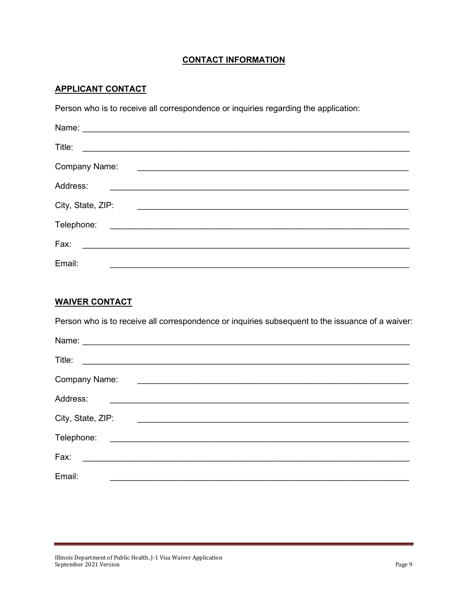# **CONTACT INFORMATION**

# **APPLICANT CONTACT**

Person who is to receive all correspondence or inquiries regarding the application:

| Name:             | <u> 1989 - Johann Stein, mars an de Frankrik (f. 1989)</u>                                                                                                                                                                           |                                                                                                                       |  |
|-------------------|--------------------------------------------------------------------------------------------------------------------------------------------------------------------------------------------------------------------------------------|-----------------------------------------------------------------------------------------------------------------------|--|
| Title:            |                                                                                                                                                                                                                                      |                                                                                                                       |  |
| Company Name:     |                                                                                                                                                                                                                                      | <u> 1989 - Johann Stein, marking and de British and de British and de British and de British and de British and d</u> |  |
| Address:          | the control of the control of the control of the control of the control of the control of the control of the control of the control of the control of the control of the control of the control of the control of the control        |                                                                                                                       |  |
| City, State, ZIP: |                                                                                                                                                                                                                                      |                                                                                                                       |  |
| Telephone:        | <u>and the contract of the contract of the contract of the contract of the contract of the contract of the contract of the contract of the contract of the contract of the contract of the contract of the contract of the contr</u> |                                                                                                                       |  |
| Fax:              | <u> 1980 - Jan Samuel Barbara, martin di</u>                                                                                                                                                                                         |                                                                                                                       |  |
| Email:            |                                                                                                                                                                                                                                      |                                                                                                                       |  |

#### **WAIVER CONTACT**

Person who is to receive all correspondence or inquiries subsequent to the issuance of a waiver:

| Title:                                                                                                                            |                                                                                 |  |
|-----------------------------------------------------------------------------------------------------------------------------------|---------------------------------------------------------------------------------|--|
| Company Name:                                                                                                                     | <u> 1989 - Andrea Station Barbara, amerikan personal (h. 1989)</u>              |  |
| Address:<br><u> 1989 - Jan Stern Stern Stern Stern Stern Stern Stern Stern Stern Stern Stern Stern Stern Stern Stern Stern St</u> |                                                                                 |  |
| City, State, ZIP:                                                                                                                 | the contract of the contract of the contract of the contract of the contract of |  |
| Telephone:<br><u> 1989 - Andrea Brand, Amerikaansk politiker (</u>                                                                |                                                                                 |  |
| Fax:                                                                                                                              |                                                                                 |  |
| Email:                                                                                                                            |                                                                                 |  |
|                                                                                                                                   |                                                                                 |  |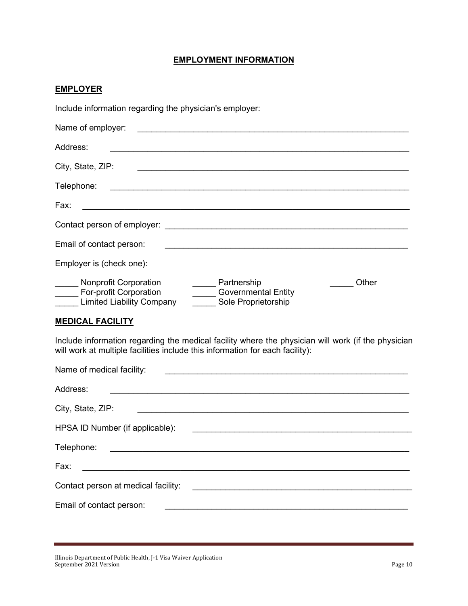# **EMPLOYMENT INFORMATION**

## **EMPLOYER**

Include information regarding the physician's employer:

| Name of employer:                                                                                                                                                                                                              |
|--------------------------------------------------------------------------------------------------------------------------------------------------------------------------------------------------------------------------------|
| Address:                                                                                                                                                                                                                       |
| City, State, ZIP:                                                                                                                                                                                                              |
| Telephone:                                                                                                                                                                                                                     |
| Fax:                                                                                                                                                                                                                           |
| Contact person of employer: example of the state of the state of the state of the state of the state of the state of the state of the state of the state of the state of the state of the state of the state of the state of t |
| Email of contact person:                                                                                                                                                                                                       |
| Employer is (check one):                                                                                                                                                                                                       |
| <b>Nonprofit Corporation</b><br>Other<br>Partnership<br><b>Governmental Entity</b><br>For-profit Corporation<br>Sole Proprietorship<br><b>Limited Liability Company</b>                                                        |
| <b>MEDICAL FACILITY</b>                                                                                                                                                                                                        |

Include information regarding the medical facility where the physician will work (if the physician will work at multiple facilities include this information for each facility):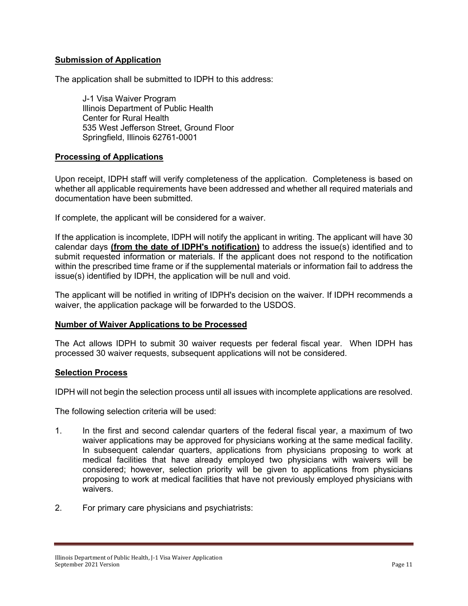## **Submission of Application**

The application shall be submitted to IDPH to this address:

J-1 Visa Waiver Program Illinois Department of Public Health Center for Rural Health 535 West Jefferson Street, Ground Floor Springfield, Illinois 62761-0001

## **Processing of Applications**

Upon receipt, IDPH staff will verify completeness of the application. Completeness is based on whether all applicable requirements have been addressed and whether all required materials and documentation have been submitted.

If complete, the applicant will be considered for a waiver.

If the application is incomplete, IDPH will notify the applicant in writing. The applicant will have 30 calendar days **(from the date of IDPH's notification)** to address the issue(s) identified and to submit requested information or materials. If the applicant does not respond to the notification within the prescribed time frame or if the supplemental materials or information fail to address the issue(s) identified by IDPH, the application will be null and void.

The applicant will be notified in writing of IDPH's decision on the waiver. If IDPH recommends a waiver, the application package will be forwarded to the USDOS.

## **Number of Waiver Applications to be Processed**

The Act allows IDPH to submit 30 waiver requests per federal fiscal year. When IDPH has processed 30 waiver requests, subsequent applications will not be considered.

#### **Selection Process**

IDPH will not begin the selection process until all issues with incomplete applications are resolved.

The following selection criteria will be used:

- 1. In the first and second calendar quarters of the federal fiscal year, a maximum of two waiver applications may be approved for physicians working at the same medical facility. In subsequent calendar quarters, applications from physicians proposing to work at medical facilities that have already employed two physicians with waivers will be considered; however, selection priority will be given to applications from physicians proposing to work at medical facilities that have not previously employed physicians with waivers.
- 2. For primary care physicians and psychiatrists: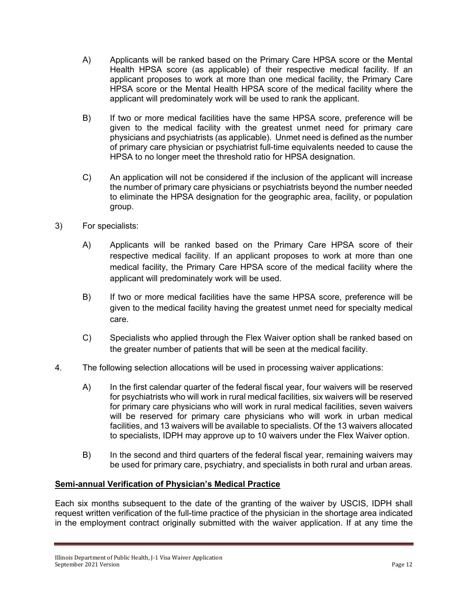- A) Applicants will be ranked based on the Primary Care HPSA score or the Mental Health HPSA score (as applicable) of their respective medical facility. If an applicant proposes to work at more than one medical facility, the Primary Care HPSA score or the Mental Health HPSA score of the medical facility where the applicant will predominately work will be used to rank the applicant.
- B) If two or more medical facilities have the same HPSA score, preference will be given to the medical facility with the greatest unmet need for primary care physicians and psychiatrists (as applicable). Unmet need is defined as the number of primary care physician or psychiatrist full-time equivalents needed to cause the HPSA to no longer meet the threshold ratio for HPSA designation.
- C) An application will not be considered if the inclusion of the applicant will increase the number of primary care physicians or psychiatrists beyond the number needed to eliminate the HPSA designation for the geographic area, facility, or population group.
- 3) For specialists:
	- A) Applicants will be ranked based on the Primary Care HPSA score of their respective medical facility. If an applicant proposes to work at more than one medical facility, the Primary Care HPSA score of the medical facility where the applicant will predominately work will be used.
	- B) If two or more medical facilities have the same HPSA score, preference will be given to the medical facility having the greatest unmet need for specialty medical care.
	- C) Specialists who applied through the Flex Waiver option shall be ranked based on the greater number of patients that will be seen at the medical facility.
- 4. The following selection allocations will be used in processing waiver applications:
	- A) In the first calendar quarter of the federal fiscal year, four waivers will be reserved for psychiatrists who will work in rural medical facilities, six waivers will be reserved for primary care physicians who will work in rural medical facilities, seven waivers will be reserved for primary care physicians who will work in urban medical facilities, and 13 waivers will be available to specialists. Of the 13 waivers allocated to specialists, IDPH may approve up to 10 waivers under the Flex Waiver option.
	- B) In the second and third quarters of the federal fiscal year, remaining waivers may be used for primary care, psychiatry, and specialists in both rural and urban areas.

## **Semi-annual Verification of Physician's Medical Practice**

Each six months subsequent to the date of the granting of the waiver by USCIS, IDPH shall request written verification of the full-time practice of the physician in the shortage area indicated in the employment contract originally submitted with the waiver application. If at any time the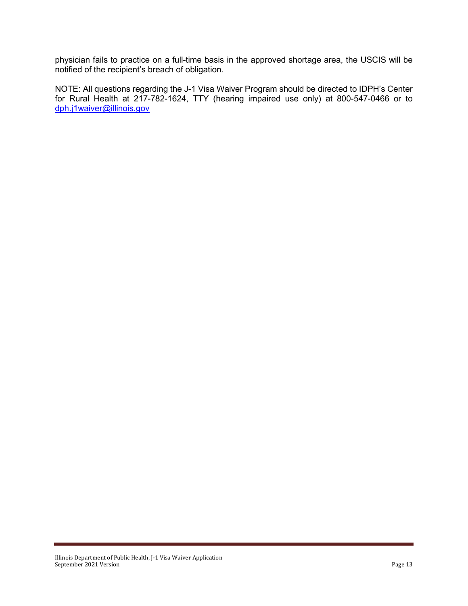physician fails to practice on a full-time basis in the approved shortage area, the USCIS will be notified of the recipient's breach of obligation.

NOTE: All questions regarding the J-1 Visa Waiver Program should be directed to IDPH's Center for Rural Health at 217-782-1624, TTY (hearing impaired use only) at 800-547-0466 or to [dph.j1waiver@illinois.gov](mailto:dph.j1waiver@illinois.gov)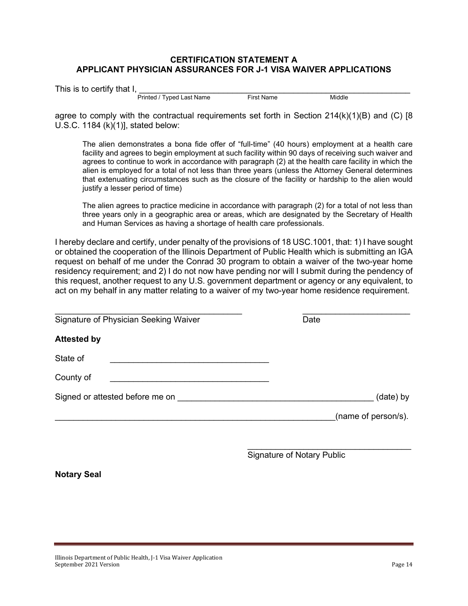## **CERTIFICATION STATEMENT A APPLICANT PHYSICIAN ASSURANCES FOR J-1 VISA WAIVER APPLICATIONS**

|  | This is to certify that I. |  |
|--|----------------------------|--|

This is to certify that I,  $\hspace{0.1cm}$   $\hspace{0.1cm}$ Printed / Typed Last Name First Name Middle

agree to comply with the contractual requirements set forth in Section  $214(k)(1)(B)$  and (C) [8] U.S.C. 1184 (k)(1)], stated below:

The alien demonstrates a bona fide offer of "full-time" (40 hours) employment at a health care facility and agrees to begin employment at such facility within 90 days of receiving such waiver and agrees to continue to work in accordance with paragraph (2) at the health care facility in which the alien is employed for a total of not less than three years (unless the Attorney General determines that extenuating circumstances such as the closure of the facility or hardship to the alien would justify a lesser period of time)

The alien agrees to practice medicine in accordance with paragraph (2) for a total of not less than three years only in a geographic area or areas, which are designated by the Secretary of Health and Human Services as having a shortage of health care professionals.

I hereby declare and certify, under penalty of the provisions of 18 USC.1001, that: 1) I have sought or obtained the cooperation of the Illinois Department of Public Health which is submitting an IGA request on behalf of me under the Conrad 30 program to obtain a waiver of the two-year home residency requirement; and 2) I do not now have pending nor will I submit during the pendency of this request, another request to any U.S. government department or agency or any equivalent, to act on my behalf in any matter relating to a waiver of my two-year home residence requirement.

| Signature of Physician Seeking Waiver | Date                |
|---------------------------------------|---------------------|
| <b>Attested by</b>                    |                     |
| State of                              |                     |
| County of                             |                     |
| Signed or attested before me on       | (date) by           |
|                                       | (name of person/s). |

\_\_\_\_\_\_\_\_\_\_\_\_\_\_\_\_\_\_\_\_\_\_\_\_\_\_\_\_\_\_\_\_\_\_\_ Signature of Notary Public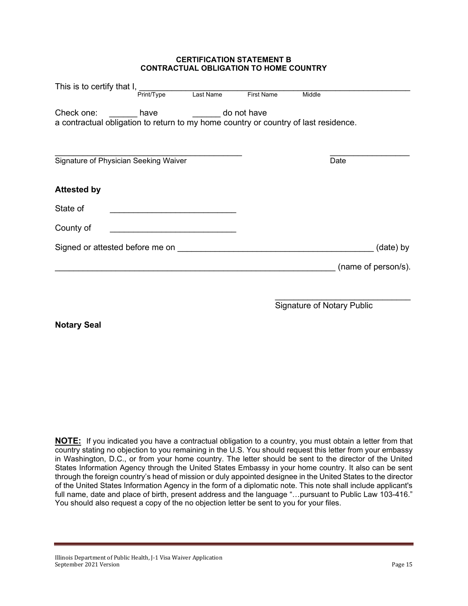#### **CERTIFICATION STATEMENT B CONTRACTUAL OBLIGATION TO HOME COUNTRY**

| This is to certify that I, <u>successome</u> manual                                                                                                                                                                            |            |             |                   |                                   |                     |
|--------------------------------------------------------------------------------------------------------------------------------------------------------------------------------------------------------------------------------|------------|-------------|-------------------|-----------------------------------|---------------------|
|                                                                                                                                                                                                                                | Print/Type | Last Name   | <b>First Name</b> | Middle                            |                     |
| Check one: have<br>a contractual obligation to return to my home country or country of last residence.                                                                                                                         |            | do not have |                   |                                   |                     |
| Signature of Physician Seeking Waiver                                                                                                                                                                                          |            |             |                   | Date                              |                     |
| <b>Attested by</b>                                                                                                                                                                                                             |            |             |                   |                                   |                     |
| State of                                                                                                                                                                                                                       |            |             |                   |                                   |                     |
| County of                                                                                                                                                                                                                      |            |             |                   |                                   |                     |
| Signed or attested before me on state of the state of the state of the state of the state of the state of the state of the state of the state of the state of the state of the state of the state of the state of the state of |            |             |                   |                                   | (date) by           |
|                                                                                                                                                                                                                                |            |             |                   |                                   | (name of person/s). |
|                                                                                                                                                                                                                                |            |             |                   |                                   |                     |
|                                                                                                                                                                                                                                |            |             |                   | <b>Signature of Notary Public</b> |                     |

**Notary Seal**

**NOTE:** If you indicated you have a contractual obligation to a country, you must obtain a letter from that country stating no objection to you remaining in the U.S. You should request this letter from your embassy in Washington, D.C., or from your home country. The letter should be sent to the director of the United States Information Agency through the United States Embassy in your home country. It also can be sent through the foreign country's head of mission or duly appointed designee in the United States to the director of the United States Information Agency in the form of a diplomatic note. This note shall include applicant's full name, date and place of birth, present address and the language "…pursuant to Public Law 103-416." You should also request a copy of the no objection letter be sent to you for your files.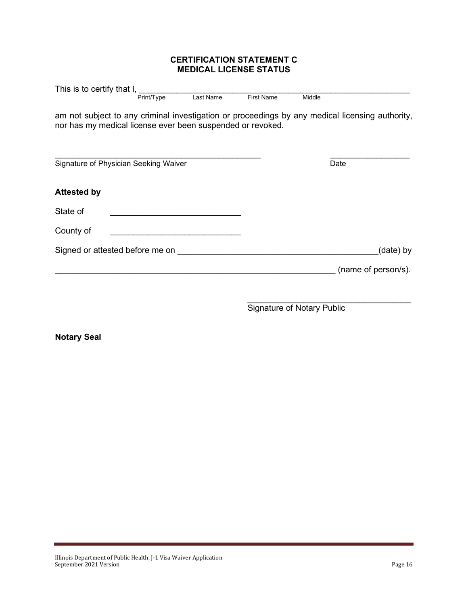## **CERTIFICATION STATEMENT C MEDICAL LICENSE STATUS**

| This is to certify that I, <u>send that</u> we have the sensure of the sensure of the sensure of the sensure of the sensure of the sensure of the sensure of the sensure of the sensure of the sensure of the sensure of the sensur |            |           |                   |        |                     |
|-------------------------------------------------------------------------------------------------------------------------------------------------------------------------------------------------------------------------------------|------------|-----------|-------------------|--------|---------------------|
|                                                                                                                                                                                                                                     | Print/Type | Last Name | <b>First Name</b> | Middle |                     |
| am not subject to any criminal investigation or proceedings by any medical licensing authority,<br>nor has my medical license ever been suspended or revoked.                                                                       |            |           |                   |        |                     |
| Signature of Physician Seeking Waiver                                                                                                                                                                                               |            |           |                   | Date   |                     |
| <b>Attested by</b>                                                                                                                                                                                                                  |            |           |                   |        |                     |
| State of                                                                                                                                                                                                                            |            |           |                   |        |                     |
| County of                                                                                                                                                                                                                           |            |           |                   |        |                     |
| Signed or attested before me on                                                                                                                                                                                                     |            |           |                   |        | (date) by           |
|                                                                                                                                                                                                                                     |            |           |                   |        | (name of person/s). |
|                                                                                                                                                                                                                                     |            |           |                   |        |                     |
|                                                                                                                                                                                                                                     |            |           |                   |        |                     |

Signature of Notary Public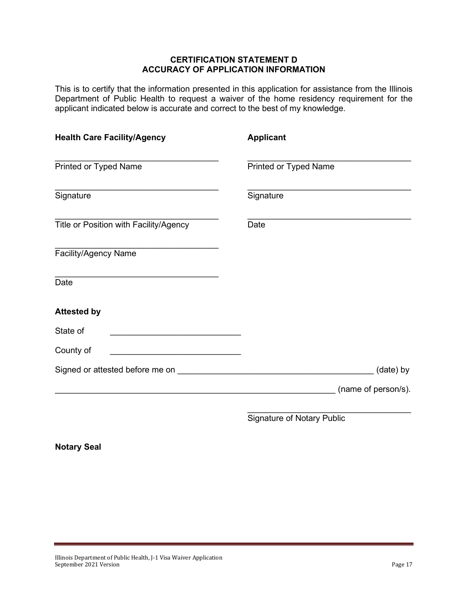#### **CERTIFICATION STATEMENT D ACCURACY OF APPLICATION INFORMATION**

This is to certify that the information presented in this application for assistance from the Illinois Department of Public Health to request a waiver of the home residency requirement for the applicant indicated below is accurate and correct to the best of my knowledge.

| <b>Health Care Facility/Agency</b>     | <b>Applicant</b>                  |
|----------------------------------------|-----------------------------------|
| Printed or Typed Name                  | Printed or Typed Name             |
| Signature                              | Signature                         |
| Title or Position with Facility/Agency | Date                              |
| Facility/Agency Name                   |                                   |
| Date                                   |                                   |
| <b>Attested by</b>                     |                                   |
| State of                               |                                   |
| County of                              |                                   |
|                                        | (date) by                         |
|                                        | (name of person/s).               |
|                                        | <b>Signature of Notary Public</b> |